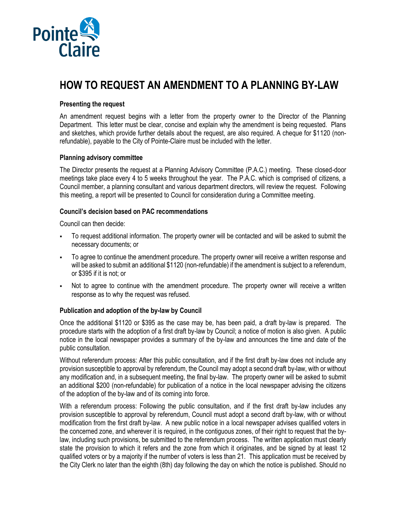

# **HOW TO REQUEST AN AMENDMENT TO A PLANNING BY-LAW**

#### **Presenting the request**

An amendment request begins with a letter from the property owner to the Director of the Planning Department. This letter must be clear, concise and explain why the amendment is being requested. Plans and sketches, which provide further details about the request, are also required. A cheque for \$1120 (nonrefundable), payable to the City of Pointe-Claire must be included with the letter.

### **Planning advisory committee**

The Director presents the request at a Planning Advisory Committee (P.A.C.) meeting. These closed-door meetings take place every 4 to 5 weeks throughout the year. The P.A.C. which is comprised of citizens, a Council member, a planning consultant and various department directors, will review the request. Following this meeting, a report will be presented to Council for consideration during a Committee meeting.

### **Council's decision based on PAC recommendations**

Council can then decide:

- To request additional information. The property owner will be contacted and will be asked to submit the necessary documents; or
- To agree to continue the amendment procedure. The property owner will receive a written response and will be asked to submit an additional \$1120 (non-refundable) if the amendment is subject to a referendum, or \$395 if it is not; or
- Not to agree to continue with the amendment procedure. The property owner will receive a written response as to why the request was refused.

## **Publication and adoption of the by-law by Council**

Once the additional \$1120 or \$395 as the case may be, has been paid, a draft by-law is prepared. The procedure starts with the adoption of a first draft by-law by Council; a notice of motion is also given. A public notice in the local newspaper provides a summary of the by-law and announces the time and date of the public consultation.

Without referendum process: After this public consultation, and if the first draft by-law does not include any provision susceptible to approval by referendum, the Council may adopt a second draft by-law, with or without any modification and, in a subsequent meeting, the final by-law. The property owner will be asked to submit an additional \$200 (non-refundable) for publication of a notice in the local newspaper advising the citizens of the adoption of the by-law and of its coming into force.

With a referendum process: Following the public consultation, and if the first draft by-law includes any provision susceptible to approval by referendum, Council must adopt a second draft by-law, with or without modification from the first draft by-law. A new public notice in a local newspaper advises qualified voters in the concerned zone, and wherever it is required, in the contiguous zones, of their right to request that the bylaw, including such provisions, be submitted to the referendum process. The written application must clearly state the provision to which it refers and the zone from which it originates, and be signed by at least 12 qualified voters or by a majority if the number of voters is less than 21. This application must be received by the City Clerk no later than the eighth (8th) day following the day on which the notice is published. Should no